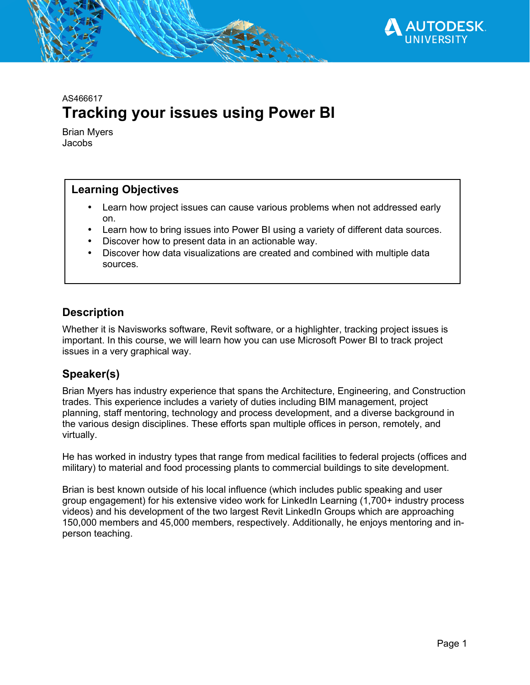

# AS466617 **Tracking your issues using Power BI**

Brian Myers Jacobs

## **Learning Objectives**

- Learn how project issues can cause various problems when not addressed early on.
- Learn how to bring issues into Power BI using a variety of different data sources.
- Discover how to present data in an actionable way.
- Discover how data visualizations are created and combined with multiple data sources.

# **Description**

Whether it is Navisworks software, Revit software, or a highlighter, tracking project issues is important. In this course, we will learn how you can use Microsoft Power BI to track project issues in a very graphical way.

# **Speaker(s)**

Brian Myers has industry experience that spans the Architecture, Engineering, and Construction trades. This experience includes a variety of duties including BIM management, project planning, staff mentoring, technology and process development, and a diverse background in the various design disciplines. These efforts span multiple offices in person, remotely, and virtually.

He has worked in industry types that range from medical facilities to federal projects (offices and military) to material and food processing plants to commercial buildings to site development.

Brian is best known outside of his local influence (which includes public speaking and user group engagement) for his extensive video work for LinkedIn Learning (1,700+ industry process videos) and his development of the two largest Revit LinkedIn Groups which are approaching 150,000 members and 45,000 members, respectively. Additionally, he enjoys mentoring and inperson teaching.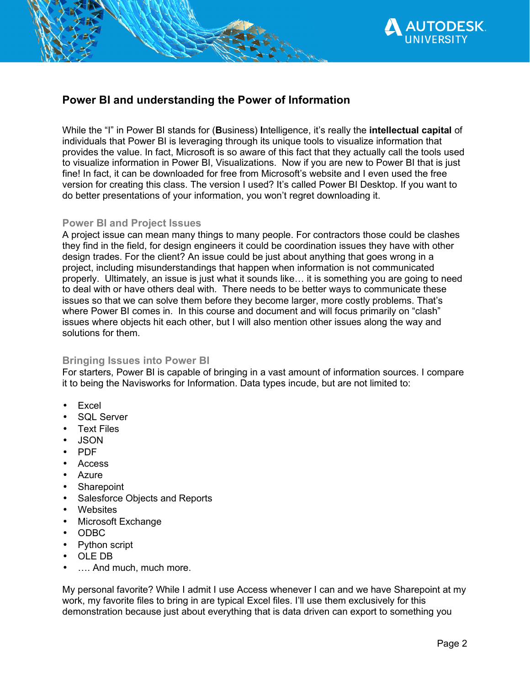

## **Power BI and understanding the Power of Information**

While the "I" in Power BI stands for (**B**usiness) **I**ntelligence, it's really the **intellectual capital** of individuals that Power BI is leveraging through its unique tools to visualize information that provides the value. In fact, Microsoft is so aware of this fact that they actually call the tools used to visualize information in Power BI, Visualizations. Now if you are new to Power BI that is just fine! In fact, it can be downloaded for free from Microsoft's website and I even used the free version for creating this class. The version I used? It's called Power BI Desktop. If you want to do better presentations of your information, you won't regret downloading it.

## **Power BI and Project Issues**

A project issue can mean many things to many people. For contractors those could be clashes they find in the field, for design engineers it could be coordination issues they have with other design trades. For the client? An issue could be just about anything that goes wrong in a project, including misunderstandings that happen when information is not communicated properly. Ultimately, an issue is just what it sounds like… it is something you are going to need to deal with or have others deal with. There needs to be better ways to communicate these issues so that we can solve them before they become larger, more costly problems. That's where Power BI comes in. In this course and document and will focus primarily on "clash" issues where objects hit each other, but I will also mention other issues along the way and solutions for them.

## **Bringing Issues into Power BI**

For starters, Power BI is capable of bringing in a vast amount of information sources. I compare it to being the Navisworks for Information. Data types incude, but are not limited to:

- Excel
- SQL Server
- **Text Files**
- JSON
- PDF
- Access
- **Azure**
- **Sharepoint**
- Salesforce Objects and Reports
- **Websites**
- Microsoft Exchange
- ODBC
- Python script
- OLE DB
- .... And much, much more.

My personal favorite? While I admit I use Access whenever I can and we have Sharepoint at my work, my favorite files to bring in are typical Excel files. I'll use them exclusively for this demonstration because just about everything that is data driven can export to something you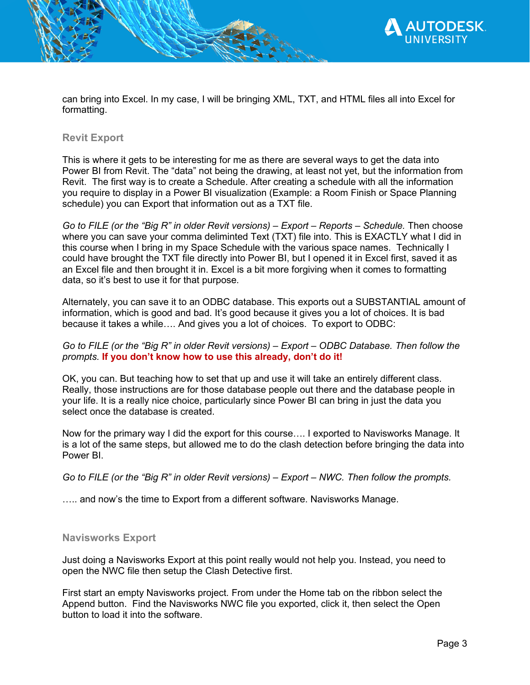

can bring into Excel. In my case, I will be bringing XML, TXT, and HTML files all into Excel for formatting.

## **Revit Export**

This is where it gets to be interesting for me as there are several ways to get the data into Power BI from Revit. The "data" not being the drawing, at least not yet, but the information from Revit. The first way is to create a Schedule. After creating a schedule with all the information you require to display in a Power BI visualization (Example: a Room Finish or Space Planning schedule) you can Export that information out as a TXT file.

*Go to FILE (or the "Big R" in older Revit versions) – Export – Reports – Schedule.* Then choose where you can save your comma deliminted Text (TXT) file into. This is EXACTLY what I did in this course when I bring in my Space Schedule with the various space names. Technically I could have brought the TXT file directly into Power BI, but I opened it in Excel first, saved it as an Excel file and then brought it in. Excel is a bit more forgiving when it comes to formatting data, so it's best to use it for that purpose.

Alternately, you can save it to an ODBC database. This exports out a SUBSTANTIAL amount of information, which is good and bad. It's good because it gives you a lot of choices. It is bad because it takes a while…. And gives you a lot of choices. To export to ODBC:

#### *Go to FILE (or the "Big R" in older Revit versions) – Export – ODBC Database. Then follow the prompts.* **If you don't know how to use this already, don't do it!**

OK, you can. But teaching how to set that up and use it will take an entirely different class. Really, those instructions are for those database people out there and the database people in your life. It is a really nice choice, particularly since Power BI can bring in just the data you select once the database is created.

Now for the primary way I did the export for this course…. I exported to Navisworks Manage. It is a lot of the same steps, but allowed me to do the clash detection before bringing the data into Power BI.

*Go to FILE (or the "Big R" in older Revit versions) – Export – NWC. Then follow the prompts.* 

..... and now's the time to Export from a different software. Navisworks Manage.

## **Navisworks Export**

Just doing a Navisworks Export at this point really would not help you. Instead, you need to open the NWC file then setup the Clash Detective first.

First start an empty Navisworks project. From under the Home tab on the ribbon select the Append button. Find the Navisworks NWC file you exported, click it, then select the Open button to load it into the software.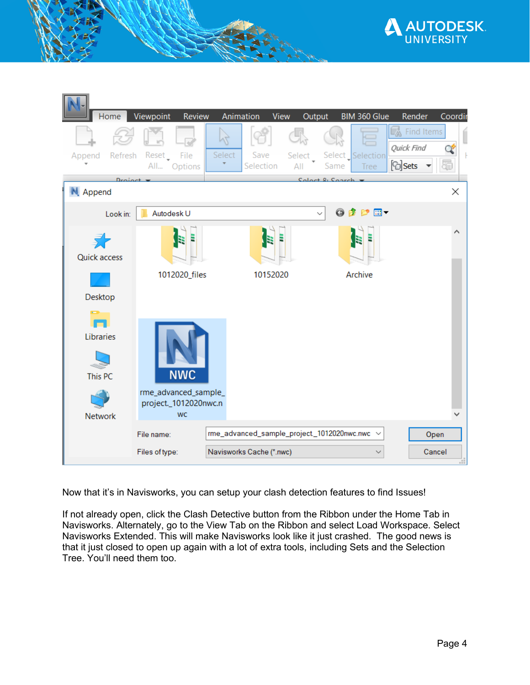



Now that it's in Navisworks, you can setup your clash detection features to find Issues!

If not already open, click the Clash Detective button from the Ribbon under the Home Tab in Navisworks. Alternately, go to the View Tab on the Ribbon and select Load Workspace. Select Navisworks Extended. This will make Navisworks look like it just crashed. The good news is that it just closed to open up again with a lot of extra tools, including Sets and the Selection Tree. You'll need them too.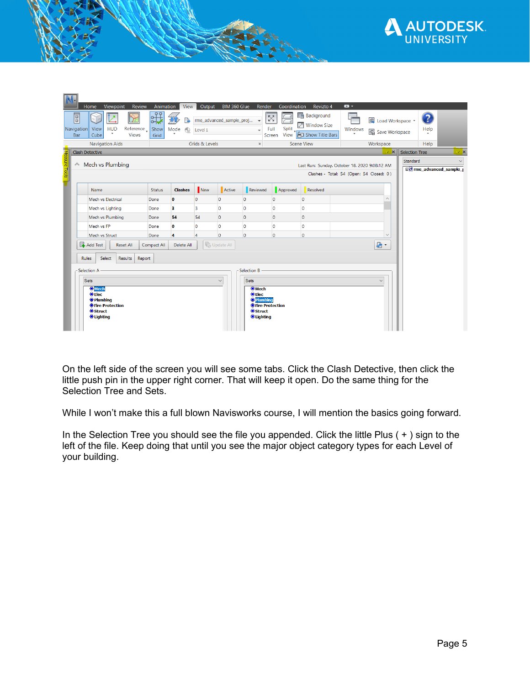

|               | Viewpoint<br>Review<br>Home                                                                                                                                                                                                                | Animation<br>View                                         | Output                                      | BIM 360 Glue<br>Render                                                                                                                                      | Coordination                           | Revizto 4                                                                    | $\bullet$                                                                                 |                                             |              |
|---------------|--------------------------------------------------------------------------------------------------------------------------------------------------------------------------------------------------------------------------------------------|-----------------------------------------------------------|---------------------------------------------|-------------------------------------------------------------------------------------------------------------------------------------------------------------|----------------------------------------|------------------------------------------------------------------------------|-------------------------------------------------------------------------------------------|---------------------------------------------|--------------|
|               | E<br><b>HUD</b><br>Reference_<br>View<br>Navigation<br>۰<br><b>Views</b><br>Cube<br>Bar                                                                                                                                                    | QQ<br>斗<br>痴<br>Г₹<br>Show<br>Mode<br>$\bigoplus$<br>Grid | rme_advanced_sample_proj<br>Level 1         | $\blacktriangledown$<br>$\overline{\phantom{a}}$                                                                                                            | $\boxtimes$<br>Split<br>Full<br>Screen | <b>Background</b><br>$\sqrt{ }$ Window Size<br>View <b>F</b> Show Title Bars | <b>B</b> Load Workspace *<br>Windows<br><b>B</b> Save Workspace                           | 2<br>Help                                   |              |
|               | <b>Navigation Aids</b>                                                                                                                                                                                                                     |                                                           | Grids & Levels                              | $\mathbf{k}$                                                                                                                                                |                                        | <b>Scene View</b>                                                            | Workspace                                                                                 | Help                                        |              |
|               | <b>Clash Detective</b>                                                                                                                                                                                                                     |                                                           |                                             |                                                                                                                                                             |                                        |                                                                              | $\mathbf{e}$ $\mathbf{x}$                                                                 | Selection Tree                              | e x          |
| Measure Tools | Mech vs Plumbing<br>$\curvearrowright$                                                                                                                                                                                                     |                                                           |                                             |                                                                                                                                                             |                                        |                                                                              | Last Run: Sunday, October 18, 2020 9:08:12 AM<br>Clashes - Total: 54 (Open: 54 Closed: 0) | Standard<br><b>Bo rme_advanced_sample_p</b> | $\checkmark$ |
|               | Name                                                                                                                                                                                                                                       | <b>Clashes</b><br><b>Status</b>                           | New<br>Active                               | Reviewed                                                                                                                                                    | Approved                               | Resolved                                                                     |                                                                                           |                                             |              |
|               | Mech vs Electrical                                                                                                                                                                                                                         | o<br>Done                                                 | $\mathbf{0}$<br>$\circ$                     | $\circ$                                                                                                                                                     | $\circ$                                | $\circ$                                                                      |                                                                                           |                                             |              |
|               | Mech vs Lighting                                                                                                                                                                                                                           | 3<br>Done                                                 | 3<br>$\overline{0}$                         | lo.                                                                                                                                                         | $\circ$                                | $\circ$                                                                      |                                                                                           |                                             |              |
|               | Mech vs Plumbing                                                                                                                                                                                                                           | 54<br>Done                                                | 54<br>$\circ$                               | $\circ$                                                                                                                                                     | $\circ$                                | $\circ$                                                                      |                                                                                           |                                             |              |
|               | Mech vs FP                                                                                                                                                                                                                                 | $\bullet$<br>Done                                         | $\mathbf{0}$<br>$\overline{0}$              | O                                                                                                                                                           | $\circ$                                | $\overline{0}$                                                               |                                                                                           |                                             |              |
|               | Mech vs Struct                                                                                                                                                                                                                             | 4<br>Done                                                 | $\overline{0}$<br>$\overline{4}$            | $\circ$                                                                                                                                                     | $\overline{0}$                         | $\overline{0}$                                                               |                                                                                           |                                             |              |
|               | Add Test<br><b>Reset All</b><br><b>Rules</b><br>Results<br>Report<br>Select<br>Selection A<br><b>Sets</b><br><b>O</b> Mech<br><b>O</b> Elec<br><b>O</b> Plumbing<br><b>O</b> Fire Protection<br><b>O</b> Struct<br><b><i>OLighting</i></b> | Compact All<br>Delete All                                 | <b>B</b> Update All<br>$\ddot{\phantom{0}}$ | Selection B<br><b>Sets</b><br><b>O</b> Mech<br><b>O</b> Elec<br><b>O</b> Plumbing<br><b>O</b> Fire Protection<br><b>O</b> Struct<br><b><i>OLighting</i></b> |                                        |                                                                              | €<br>$\overline{\phantom{a}}$                                                             |                                             |              |

On the left side of the screen you will see some tabs. Click the Clash Detective, then click the little push pin in the upper right corner. That will keep it open. Do the same thing for the Selection Tree and Sets.

While I won't make this a full blown Navisworks course, I will mention the basics going forward.

In the Selection Tree you should see the file you appended. Click the little Plus ( + ) sign to the left of the file. Keep doing that until you see the major object category types for each Level of your building.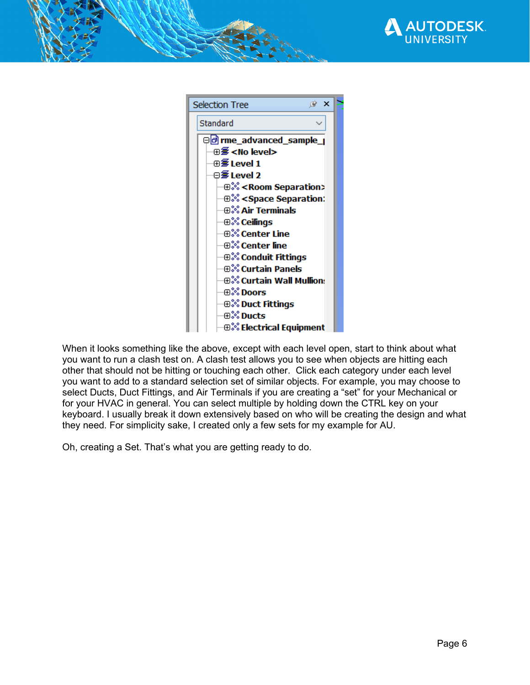



When it looks something like the above, except with each level open, start to think about what you want to run a clash test on. A clash test allows you to see when objects are hitting each other that should not be hitting or touching each other. Click each category under each level you want to add to a standard selection set of similar objects. For example, you may choose to select Ducts, Duct Fittings, and Air Terminals if you are creating a "set" for your Mechanical or for your HVAC in general. You can select multiple by holding down the CTRL key on your keyboard. I usually break it down extensively based on who will be creating the design and what they need. For simplicity sake, I created only a few sets for my example for AU.

Oh, creating a Set. That's what you are getting ready to do.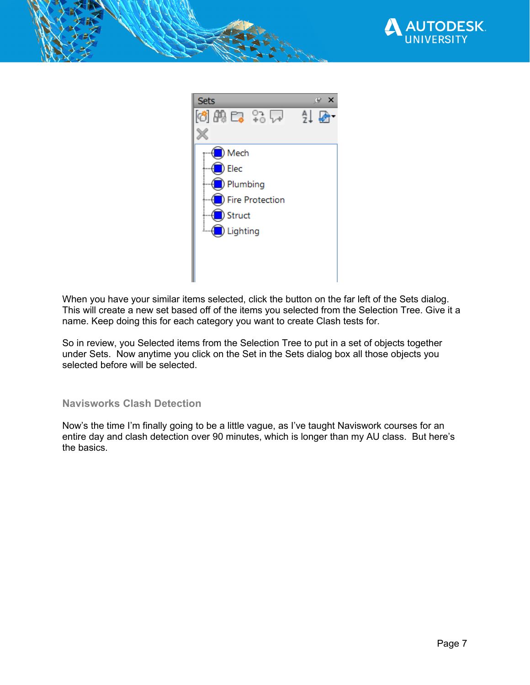



When you have your similar items selected, click the button on the far left of the Sets dialog. This will create a new set based off of the items you selected from the Selection Tree. Give it a name. Keep doing this for each category you want to create Clash tests for.

So in review, you Selected items from the Selection Tree to put in a set of objects together under Sets. Now anytime you click on the Set in the Sets dialog box all those objects you selected before will be selected.

## **Navisworks Clash Detection**

Now's the time I'm finally going to be a little vague, as I've taught Naviswork courses for an entire day and clash detection over 90 minutes, which is longer than my AU class. But here's the basics.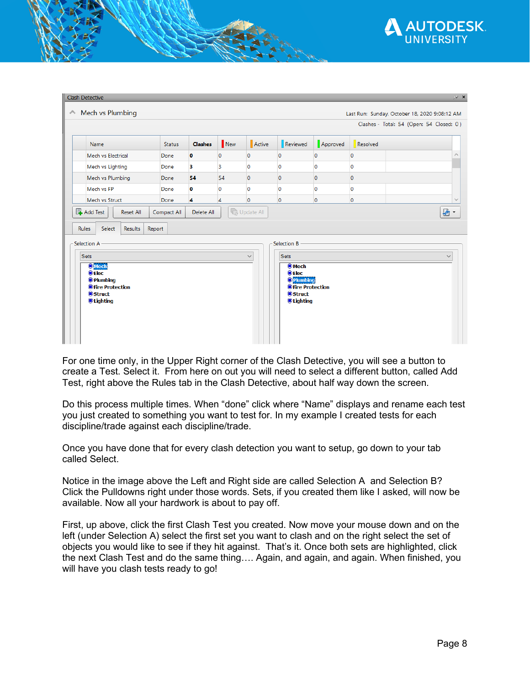

|                              |               |                |                |                |                              |                | Clashes - Total: 54 (Open: 54 Closed: 0) |  |
|------------------------------|---------------|----------------|----------------|----------------|------------------------------|----------------|------------------------------------------|--|
| Name                         | <b>Status</b> | <b>Clashes</b> | New            | Active         | Reviewed                     | Approved       | Resolved                                 |  |
| Mech vs Electrical           | Done          | $\bullet$      | $\mathbf{O}$   | $\circ$        | $\circ$                      | $\mathbf 0$    | 0                                        |  |
| Mech vs Lighting             | Done          | 3              | 3              | $\overline{0}$ | $\overline{0}$               | $\circ$        | $\mathbf 0$                              |  |
| Mech vs Plumbing             | Done          | 54             | 54             | $\mathbf{0}$   | $\circ$                      | $\circ$        | $\mathbf{O}$                             |  |
| Mech vs FP                   | Done          | $\bullet$      | $\mathbf 0$    | $\overline{0}$ | l0.                          | $\circ$        | $\mathbf 0$                              |  |
| Mech vs Struct               | Done          | 4              | $\overline{4}$ | $\overline{0}$ | $\overline{0}$               | $\overline{0}$ | 0                                        |  |
| Select<br><b>Results</b>     | Report        |                |                |                |                              |                |                                          |  |
| <b>Rules</b><br>Selection A  |               |                |                |                | Selection B                  |                |                                          |  |
| <b>Sets</b><br><b>O</b> Mech |               |                |                | $\vee$         | <b>Sets</b><br><b>O</b> Mech |                |                                          |  |

For one time only, in the Upper Right corner of the Clash Detective, you will see a button to create a Test. Select it. From here on out you will need to select a different button, called Add Test, right above the Rules tab in the Clash Detective, about half way down the screen.

Do this process multiple times. When "done" click where "Name" displays and rename each test you just created to something you want to test for. In my example I created tests for each discipline/trade against each discipline/trade.

Once you have done that for every clash detection you want to setup, go down to your tab called Select.

Notice in the image above the Left and Right side are called Selection A and Selection B? Click the Pulldowns right under those words. Sets, if you created them like I asked, will now be available. Now all your hardwork is about to pay off.

First, up above, click the first Clash Test you created. Now move your mouse down and on the left (under Selection A) select the first set you want to clash and on the right select the set of objects you would like to see if they hit against. That's it. Once both sets are highlighted, click the next Clash Test and do the same thing…. Again, and again, and again. When finished, you will have you clash tests ready to go!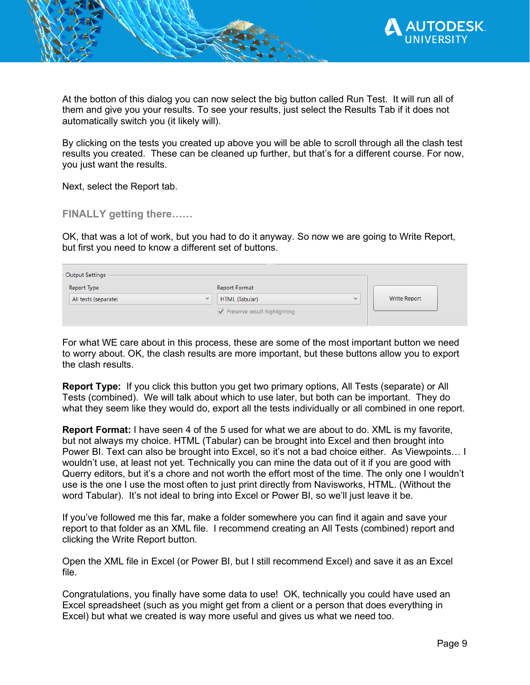

At the botton of this dialog you can now select the big button called Run Test. It will run all of them and give you your results. To see your results, just select the Results Tab if it does not automatically switch you (it likely will).

By clicking on the tests you created up above you will be able to scroll through all the clash test results you created. These can be cleaned up further, but that's for a different course. For now, you just want the results.

Next, select the Report tab.

**FINALLY getting there……** 

OK, that was a lot of work, but you had to do it anyway. So now we are going to Write Report, but first you need to know a different set of buttons.

| - Output Settings                    |                                |              |
|--------------------------------------|--------------------------------|--------------|
| Report Type                          | <b>Report Format</b>           |              |
| All tests (separate)<br>$\checkmark$ | HTML (Tabular)<br>$\checkmark$ | Write Report |
|                                      | Preserve result highlighting   |              |
|                                      |                                |              |

For what WE care about in this process, these are some of the most important button we need to worry about. OK, the clash results are more important, but these buttons allow you to export the clash results.

**Report Type:** If you click this button you get two primary options, All Tests (separate) or All Tests (combined). We will talk about which to use later, but both can be important. They do what they seem like they would do, export all the tests individually or all combined in one report.

**Report Format:** I have seen 4 of the 5 used for what we are about to do. XML is my favorite, but not always my choice. HTML (Tabular) can be brought into Excel and then brought into Power BI. Text can also be brought into Excel, so it's not a bad choice either. As Viewpoints… I wouldn't use, at least not yet. Technically you can mine the data out of it if you are good with Querry editors, but it's a chore and not worth the effort most of the time. The only one I wouldn't use is the one I use the most often to just print directly from Navisworks, HTML. (Without the word Tabular). It's not ideal to bring into Excel or Power BI, so we'll just leave it be.

If you've followed me this far, make a folder somewhere you can find it again and save your report to that folder as an XML file. I recommend creating an All Tests (combined) report and clicking the Write Report button.

Open the XML file in Excel (or Power BI, but I still recommend Excel) and save it as an Excel file.

Congratulations, you finally have some data to use! OK, technically you could have used an Excel spreadsheet (such as you might get from a client or a person that does everything in Excel) but what we created is way more useful and gives us what we need too.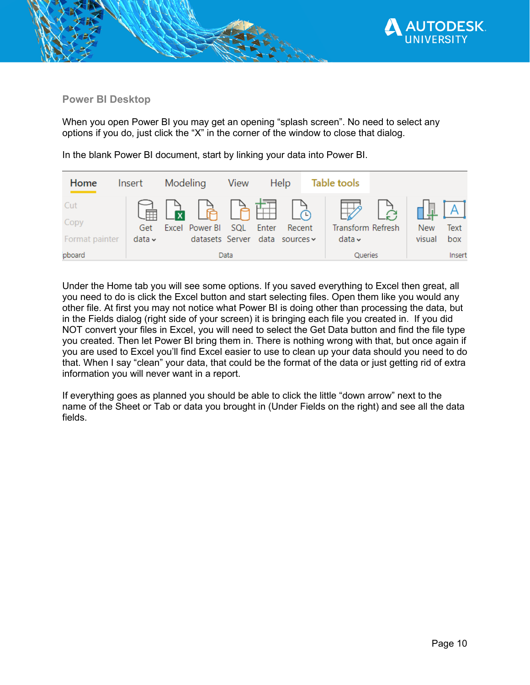

## **Power BI Desktop**

When you open Power BI you may get an opening "splash screen". No need to select any options if you do, just click the "X" in the corner of the window to close that dialog.

| Home                   | Insert             | Modeling |                                                            | View | <b>Help</b> | Table tools                      |                      |             |
|------------------------|--------------------|----------|------------------------------------------------------------|------|-------------|----------------------------------|----------------------|-------------|
| Cut                    |                    |          |                                                            |      |             | $A B B B A B C$                  |                      |             |
| Copy<br>Format painter | Get<br>data $\sim$ |          | Excel Power BI SQL Enter<br>datasets Server data sources v |      | Recent      | Transform Refresh<br>data $\sim$ | <b>New</b><br>visual | Text<br>box |
| pboard                 |                    |          |                                                            | Data |             | Queries                          |                      | Insert      |

In the blank Power BI document, start by linking your data into Power BI.

Under the Home tab you will see some options. If you saved everything to Excel then great, all you need to do is click the Excel button and start selecting files. Open them like you would any other file. At first you may not notice what Power BI is doing other than processing the data, but in the Fields dialog (right side of your screen) it is bringing each file you created in. If you did NOT convert your files in Excel, you will need to select the Get Data button and find the file type you created. Then let Power BI bring them in. There is nothing wrong with that, but once again if you are used to Excel you'll find Excel easier to use to clean up your data should you need to do that. When I say "clean" your data, that could be the format of the data or just getting rid of extra information you will never want in a report.

If everything goes as planned you should be able to click the little "down arrow" next to the name of the Sheet or Tab or data you brought in (Under Fields on the right) and see all the data fields.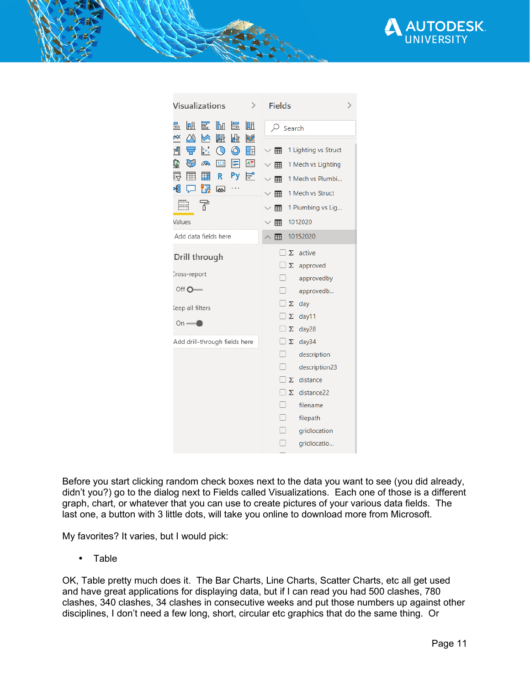

| Visualizations<br>⟩                                                                              | <b>Fields</b>                               |  |  |  |
|--------------------------------------------------------------------------------------------------|---------------------------------------------|--|--|--|
| 衄<br>国<br>lba<br>量<br>畺<br>Ia.<br>$\infty$<br>$\infty$<br>郾<br>困<br><b>REG</b><br>⋈              | Q<br>Search                                 |  |  |  |
| 묘.<br>$\circ$<br>r¶<br>围                                                                         | 1 Lighting vs Struct<br>⊞                   |  |  |  |
| ₩<br>$\overline{\mathbf{A}\mathbf{v}}$<br>$\mathbf{\Theta}$<br>123<br>$\mathbb{E}$<br>$\sqrt{2}$ | $\vee$ $\blacksquare$<br>1 Mech vs Lighting |  |  |  |
| 尋<br>Ę<br>囲<br>亜<br>Py<br>R.                                                                     | 1 Mech vs Plumbi<br>$\vee$ #                |  |  |  |
| 唱<br><mark>7</mark> あ<br>ঢ়                                                                      | 1 Mech vs Struct<br>用                       |  |  |  |
| m<br>굮                                                                                           | 1 Plumbing vs Lig<br>⊞<br>$\checkmark$      |  |  |  |
| Values                                                                                           | 1012020<br>用                                |  |  |  |
| Add data fields here                                                                             | 10152020<br>囲                               |  |  |  |
| Drill through                                                                                    | active<br>Σ                                 |  |  |  |
|                                                                                                  | Σ<br>approved                               |  |  |  |
| cross-report                                                                                     | Ιl<br>approvedby                            |  |  |  |
| Off $O \rightleftharpoons$                                                                       | approvedb                                   |  |  |  |
| Ceep all filters                                                                                 | Σ<br>day                                    |  |  |  |
| $On \longrightarrow$                                                                             | day11<br>Σ                                  |  |  |  |
|                                                                                                  | Σ<br>day28                                  |  |  |  |
| Add drill-through fields here                                                                    | $\square$ $\Sigma$<br>day34                 |  |  |  |
|                                                                                                  | П<br>description                            |  |  |  |
|                                                                                                  | $\Box$<br>description23                     |  |  |  |
|                                                                                                  | $\Box$<br>distance<br>Σ                     |  |  |  |
|                                                                                                  | Σ<br>distance22                             |  |  |  |
|                                                                                                  | $\Box$<br>filename                          |  |  |  |
|                                                                                                  | П<br>filepath                               |  |  |  |
|                                                                                                  | - 1<br>gridlocation                         |  |  |  |
|                                                                                                  | ۰<br>gridlocatio                            |  |  |  |

Before you start clicking random check boxes next to the data you want to see (you did already, didn't you?) go to the dialog next to Fields called Visualizations. Each one of those is a different graph, chart, or whatever that you can use to create pictures of your various data fields. The last one, a button with 3 little dots, will take you online to download more from Microsoft.

My favorites? It varies, but I would pick:

• Table

OK, Table pretty much does it. The Bar Charts, Line Charts, Scatter Charts, etc all get used and have great applications for displaying data, but if I can read you had 500 clashes, 780 clashes, 340 clashes, 34 clashes in consecutive weeks and put those numbers up against other disciplines, I don't need a few long, short, circular etc graphics that do the same thing. Or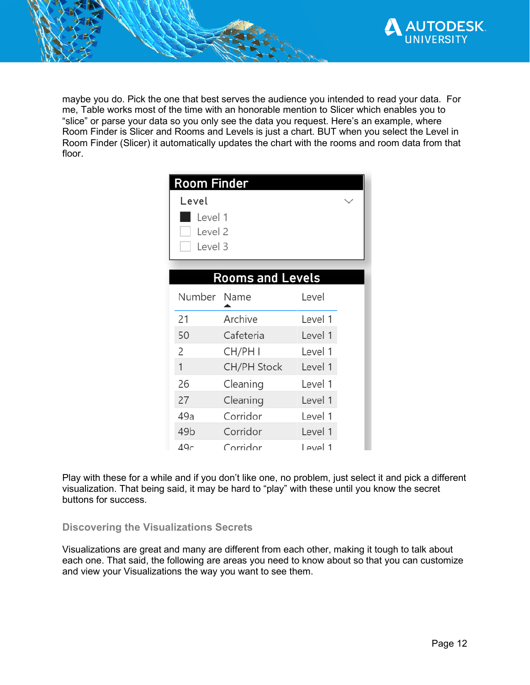

maybe you do. Pick the one that best serves the audience you intended to read your data. For me, Table works most of the time with an honorable mention to Slicer which enables you to "slice" or parse your data so you only see the data you request. Here's an example, where Room Finder is Slicer and Rooms and Levels is just a chart. BUT when you select the Level in Room Finder (Slicer) it automatically updates the chart with the rooms and room data from that floor.

| Room Finder<br>Level<br>Level 1<br>Level 2<br>Level 3 |                         |          |  |  |  |  |  |
|-------------------------------------------------------|-------------------------|----------|--|--|--|--|--|
|                                                       | <b>Rooms and Levels</b> |          |  |  |  |  |  |
| Number Name                                           |                         | Level    |  |  |  |  |  |
| 21                                                    | Archive                 | Level 1  |  |  |  |  |  |
| 50                                                    | Cafeteria               | Level 1  |  |  |  |  |  |
| 2                                                     | CH/PH I                 | Level 1  |  |  |  |  |  |
| 1                                                     | <b>CH/PH Stock</b>      | Level 1  |  |  |  |  |  |
| 26                                                    | Cleaning                | Level 1  |  |  |  |  |  |
| 27                                                    | Cleaning                | Level 1  |  |  |  |  |  |
| 49a                                                   | Corridor                | Level 1  |  |  |  |  |  |
| 49 <sub>b</sub>                                       | Corridor                | Level 1  |  |  |  |  |  |
| 49c                                                   | Corridor                | l evel 1 |  |  |  |  |  |

Play with these for a while and if you don't like one, no problem, just select it and pick a different visualization. That being said, it may be hard to "play" with these until you know the secret buttons for success.

## **Discovering the Visualizations Secrets**

Visualizations are great and many are different from each other, making it tough to talk about each one. That said, the following are areas you need to know about so that you can customize and view your Visualizations the way you want to see them.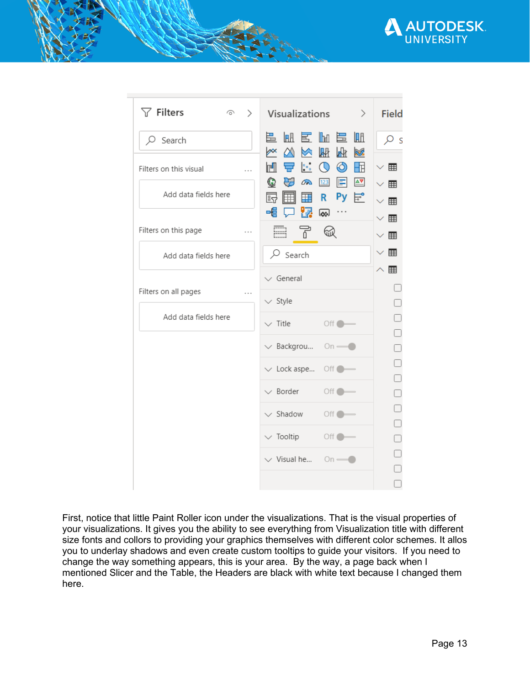



First, notice that little Paint Roller icon under the visualizations. That is the visual properties of your visualizations. It gives you the ability to see everything from Visualization title with different size fonts and collors to providing your graphics themselves with different color schemes. It allos you to underlay shadows and even create custom tooltips to guide your visitors. If you need to change the way something appears, this is your area. By the way, a page back when I mentioned Slicer and the Table, the Headers are black with white text because I changed them here.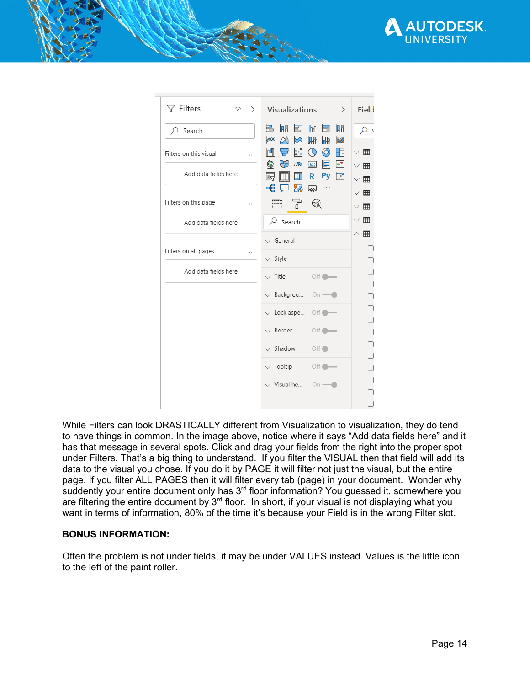

| $\nabla$ Filters<br>Ó       | Visualizations<br>$\rightarrow$<br>$\left\langle \right\rangle$                                                               | <b>Field</b>                         |
|-----------------------------|-------------------------------------------------------------------------------------------------------------------------------|--------------------------------------|
| $\varphi$ Search            | 色血医血色血<br>翢<br>$\triangleright$<br>k<br>$\infty$<br><b>RUS</b><br>M                                                           | Q<br>S                               |
| Filters on this visual<br>. | ◎<br>$\epsilon_{\rm m}$<br>m<br>$\circ$<br>Æ<br>重<br>$\mathbb{E}$<br>$\Delta \nabla$<br>$\bf \mathbb{G}$<br>123<br>$\sqrt{2}$ | $\vee$ #                             |
| Add data fields here        | Py 능°<br>鬲<br>⊞<br>囲<br>R.                                                                                                    | $\vee$ #<br>$\smallsmile$ $\boxplus$ |
| Filters on this page<br>.   | 27<br>帽<br>$\overline{\infty}$<br>E,<br>Ŧ<br>$\mathbb Q$                                                                      | $\vee$ #<br>$\vee$ #                 |
| Add data fields here        | $\varphi$ Search                                                                                                              | $\vee$ #                             |
| Filters on all pages<br>.   | General<br>$\vee$ Style                                                                                                       | $\wedge \overline{\mathbb{H}}$       |
| Add data fields here        | $\vee$ Title<br>Off <sub>o</sub>                                                                                              |                                      |
|                             | $\vee$ Backgrou<br>$On$ $-$                                                                                                   |                                      |
|                             | $\vee$ Lock aspe<br>Off <sup>o</sup>                                                                                          |                                      |
|                             | $\vee$ Border<br>$\circ$ off $\bullet$                                                                                        |                                      |
|                             | $\vee$ Shadow<br>Off <sup>°</sup>                                                                                             |                                      |
|                             | $\vee$ Tooltip<br>Off O<br>$\vee$ Visual he<br>$On$ $-$                                                                       |                                      |
|                             |                                                                                                                               | $\bar{ }$                            |

While Filters can look DRASTICALLY different from Visualization to visualization, they do tend to have things in common. In the image above, notice where it says "Add data fields here" and it has that message in several spots. Click and drag your fields from the right into the proper spot under Filters. That's a big thing to understand. If you filter the VISUAL then that field will add its data to the visual you chose. If you do it by PAGE it will filter not just the visual, but the entire page. If you filter ALL PAGES then it will filter every tab (page) in your document. Wonder why suddently your entire document only has 3<sup>rd</sup> floor information? You guessed it, somewhere you are filtering the entire document by 3<sup>rd</sup> floor. In short, if your visual is not displaying what you want in terms of information, 80% of the time it's because your Field is in the wrong Filter slot.

#### **BONUS INFORMATION:**

Often the problem is not under fields, it may be under VALUES instead. Values is the little icon to the left of the paint roller.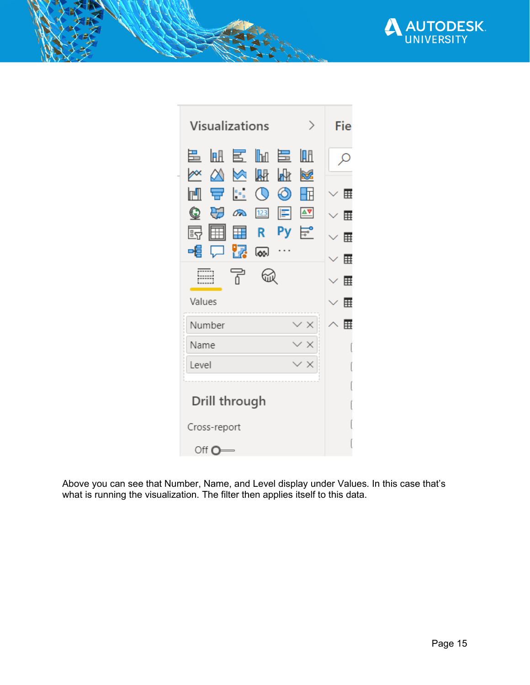

| Visualizations                                                    | Fie          |
|-------------------------------------------------------------------|--------------|
| 邑 衄 國<br>⊪⊪<br>5<br>IA A<br>Μ<br>∕×<br>翢<br>⋈<br>Ѩ<br><b>Refs</b> |              |
| 모 - H<br>ல<br>$\mathbb{O}$<br>m                                   | $\backsim$ # |
| Q<br>₩<br>$\sqrt{2}$<br>$\mathbb{E}$<br>123<br>≙⊽                 | ⊞            |
| 昂<br>匣<br>R<br>⊞                                                  | 賱            |
| ା <mark>ମ</mark> ା<br>咱<br>$\downarrow$                           | ⊞            |
| F<br>砚                                                            | ⊞            |
| Values                                                            | 囲            |
| $\times$ $\times$<br>Number                                       | ⊞            |
| Name<br>$\prime$ X                                                |              |
| Level<br>'Χ                                                       |              |
|                                                                   |              |
| Drill through                                                     |              |
| Cross-report                                                      |              |
| Off $\Omega$ =                                                    |              |

Above you can see that Number, Name, and Level display under Values. In this case that's what is running the visualization. The filter then applies itself to this data.